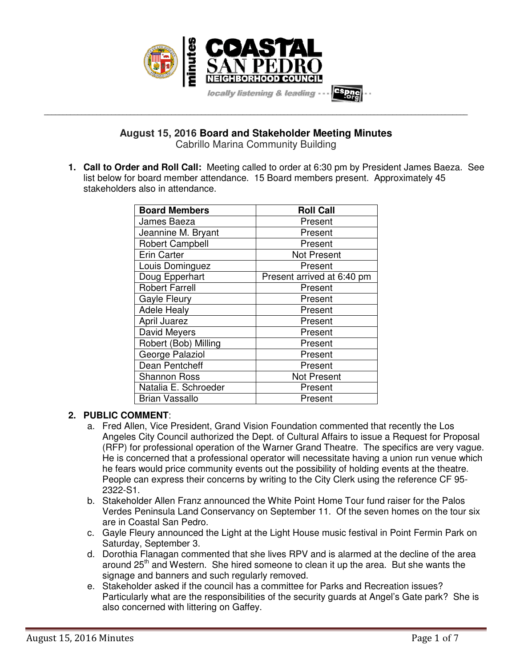

**August 15, 2016 Board and Stakeholder Meeting Minutes**  Cabrillo Marina Community Building

**\_\_\_\_\_\_\_\_\_\_\_\_\_\_\_\_\_\_\_\_\_\_\_\_\_\_\_\_\_\_\_\_\_\_\_\_\_\_\_\_\_\_\_\_\_\_\_\_\_\_\_\_\_\_\_\_\_\_\_\_\_\_\_\_\_\_\_\_\_\_\_\_\_\_\_\_\_\_\_\_\_\_\_\_\_\_\_\_\_\_\_\_\_\_\_\_\_\_\_\_\_\_\_\_\_\_\_\_\_\_\_\_\_** 

**1. Call to Order and Roll Call:** Meeting called to order at 6:30 pm by President James Baeza. See list below for board member attendance. 15 Board members present. Approximately 45 stakeholders also in attendance.

| <b>Board Members</b>   | <b>Roll Call</b>           |
|------------------------|----------------------------|
| James Baeza            | Present                    |
| Jeannine M. Bryant     | Present                    |
| <b>Robert Campbell</b> | Present                    |
| <b>Erin Carter</b>     | Not Present                |
| Louis Dominguez        | Present                    |
| Doug Epperhart         | Present arrived at 6:40 pm |
| <b>Robert Farrell</b>  | Present                    |
| <b>Gayle Fleury</b>    | Present                    |
| <b>Adele Healy</b>     | Present                    |
| April Juarez           | Present                    |
| David Meyers           | Present                    |
| Robert (Bob) Milling   | Present                    |
| George Palaziol        | Present                    |
| Dean Pentcheff         | Present                    |
| <b>Shannon Ross</b>    | <b>Not Present</b>         |
| Natalia E. Schroeder   | Present                    |
| <b>Brian Vassallo</b>  | Present                    |

#### **2. PUBLIC COMMENT**:

- a. Fred Allen, Vice President, Grand Vision Foundation commented that recently the Los Angeles City Council authorized the Dept. of Cultural Affairs to issue a Request for Proposal (RFP) for professional operation of the Warner Grand Theatre. The specifics are very vague. He is concerned that a professional operator will necessitate having a union run venue which he fears would price community events out the possibility of holding events at the theatre. People can express their concerns by writing to the City Clerk using the reference CF 95- 2322-S1.
- b. Stakeholder Allen Franz announced the White Point Home Tour fund raiser for the Palos Verdes Peninsula Land Conservancy on September 11. Of the seven homes on the tour six are in Coastal San Pedro.
- c. Gayle Fleury announced the Light at the Light House music festival in Point Fermin Park on Saturday, September 3.
- d. Dorothia Flanagan commented that she lives RPV and is alarmed at the decline of the area around 25<sup>th</sup> and Western. She hired someone to clean it up the area. But she wants the signage and banners and such regularly removed.
- e. Stakeholder asked if the council has a committee for Parks and Recreation issues? Particularly what are the responsibilities of the security guards at Angel's Gate park? She is also concerned with littering on Gaffey.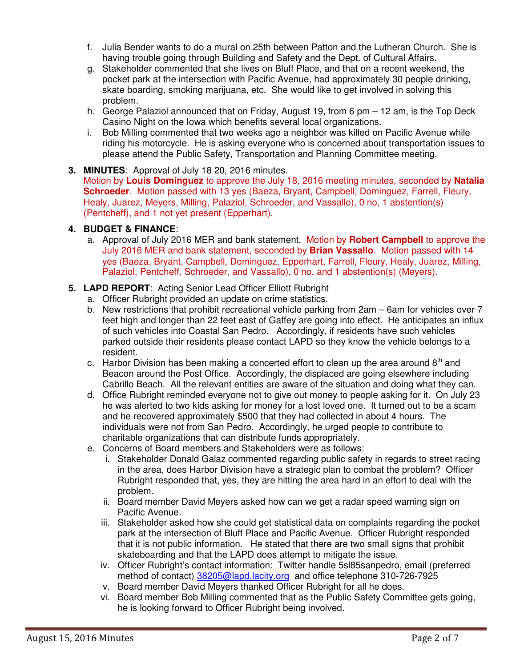- f. Julia Bender wants to do a mural on 25th between Patton and the Lutheran Church. She is having trouble going through Building and Safety and the Dept. of Cultural Affairs.
- g. Stakeholder commented that she lives on Bluff Place, and that on a recent weekend, the pocket park at the intersection with Pacific Avenue, had approximately 30 people drinking, skate boarding, smoking marijuana, etc. She would like to get involved in solving this problem.
- h. George Palaziol announced that on Friday, August 19, from 6 pm 12 am, is the Top Deck Casino Night on the Iowa which benefits several local organizations.
- i. Bob Milling commented that two weeks ago a neighbor was killed on Pacific Avenue while riding his motorcycle. He is asking everyone who is concerned about transportation issues to please attend the Public Safety, Transportation and Planning Committee meeting.
- **3. MINUTES**: Approval of July 18 20, 2016 minutes. Motion by **Louis Dominguez** to approve the July 18, 2016 meeting minutes, seconded by **Natalia Schroeder**. Motion passed with 13 yes (Baeza, Bryant, Campbell, Dominguez, Farrell, Fleury, Healy, Juarez, Meyers, Milling, Palaziol, Schroeder, and Vassallo), 0 no, 1 abstention(s) (Pentcheff), and 1 not yet present (Epperhart).

## **4. BUDGET & FINANCE**:

- a. Approval of July 2016 MER and bank statement. Motion by **Robert Campbell** to approve the July 2016 MER and bank statement, seconded by **Brian Vassallo**. Motion passed with 14 yes (Baeza, Bryant, Campbell, Dominguez, Epperhart, Farrell, Fleury, Healy, Juarez, Milling, Palaziol, Pentcheff, Schroeder, and Vassallo), 0 no, and 1 abstention(s) (Meyers).
- **5. LAPD REPORT**: Acting Senior Lead Officer Elliott Rubright
	- a. Officer Rubright provided an update on crime statistics.
	- b. New restrictions that prohibit recreational vehicle parking from 2am 6am for vehicles over 7 feet high and longer than 22 feet east of Gaffey are going into effect. He anticipates an influx of such vehicles into Coastal San Pedro. Accordingly, if residents have such vehicles parked outside their residents please contact LAPD so they know the vehicle belongs to a resident.
	- c. Harbor Division has been making a concerted effort to clean up the area around  $8<sup>th</sup>$  and Beacon around the Post Office. Accordingly, the displaced are going elsewhere including Cabrillo Beach. All the relevant entities are aware of the situation and doing what they can.
	- d. Office Rubright reminded everyone not to give out money to people asking for it. On July 23 he was alerted to two kids asking for money for a lost loved one. It turned out to be a scam and he recovered approximately \$500 that they had collected in about 4 hours. The individuals were not from San Pedro. Accordingly, he urged people to contribute to charitable organizations that can distribute funds appropriately.
	- e. Concerns of Board members and Stakeholders were as follows:
		- i. Stakeholder Donald Galaz commented regarding public safety in regards to street racing in the area, does Harbor Division have a strategic plan to combat the problem? Officer Rubright responded that, yes, they are hitting the area hard in an effort to deal with the problem.
		- ii. Board member David Meyers asked how can we get a radar speed warning sign on Pacific Avenue.
		- iii. Stakeholder asked how she could get statistical data on complaints regarding the pocket park at the intersection of Bluff Place and Pacific Avenue. Officer Rubright responded that it is not public information. He stated that there are two small signs that prohibit skateboarding and that the LAPD does attempt to mitigate the issue.
		- iv. Officer Rubright's contact information: Twitter handle 5sl85sanpedro, email (preferred method of contact) 38205@lapd.lacity.org and office telephone 310-726-7925
		- v. Board member David Meyers thanked Officer Rubright for all he does.
		- vi. Board member Bob Milling commented that as the Public Safety Committee gets going, he is looking forward to Officer Rubright being involved.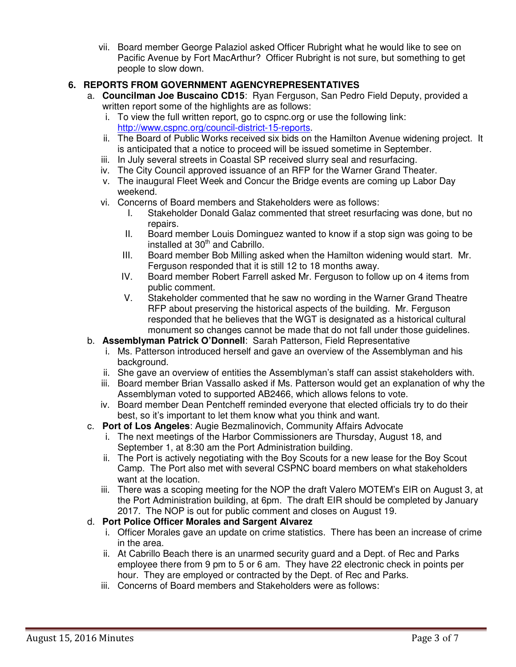vii. Board member George Palaziol asked Officer Rubright what he would like to see on Pacific Avenue by Fort MacArthur? Officer Rubright is not sure, but something to get people to slow down.

# **6. REPORTS FROM GOVERNMENT AGENCYREPRESENTATIVES**

- a. **Councilman Joe Buscaino CD15**: Ryan Ferguson, San Pedro Field Deputy, provided a written report some of the highlights are as follows:
	- i. To view the full written report, go to cspnc.org or use the following link: http://www.cspnc.org/council-district-15-reports.
	- ii. The Board of Public Works received six bids on the Hamilton Avenue widening project. It is anticipated that a notice to proceed will be issued sometime in September.
	- iii. In July several streets in Coastal SP received slurry seal and resurfacing.
	- iv. The City Council approved issuance of an RFP for the Warner Grand Theater.
	- v. The inaugural Fleet Week and Concur the Bridge events are coming up Labor Day weekend.
	- vi. Concerns of Board members and Stakeholders were as follows:
		- I. Stakeholder Donald Galaz commented that street resurfacing was done, but no repairs.
		- II. Board member Louis Dominguez wanted to know if a stop sign was going to be installed at  $30<sup>th</sup>$  and Cabrillo.
		- III. Board member Bob Milling asked when the Hamilton widening would start. Mr. Ferguson responded that it is still 12 to 18 months away.
		- IV. Board member Robert Farrell asked Mr. Ferguson to follow up on 4 items from public comment.
		- V. Stakeholder commented that he saw no wording in the Warner Grand Theatre RFP about preserving the historical aspects of the building. Mr. Ferguson responded that he believes that the WGT is designated as a historical cultural monument so changes cannot be made that do not fall under those guidelines.

## b. **Assemblyman Patrick O'Donnell**: Sarah Patterson, Field Representative

- i. Ms. Patterson introduced herself and gave an overview of the Assemblyman and his background.
- ii. She gave an overview of entities the Assemblyman's staff can assist stakeholders with.
- iii. Board member Brian Vassallo asked if Ms. Patterson would get an explanation of why the Assemblyman voted to supported AB2466, which allows felons to vote.
- iv. Board member Dean Pentcheff reminded everyone that elected officials try to do their best, so it's important to let them know what you think and want.
- c. **Port of Los Angeles**: Augie Bezmalinovich, Community Affairs Advocate
	- i. The next meetings of the Harbor Commissioners are Thursday, August 18, and September 1, at 8:30 am the Port Administration building.
	- ii. The Port is actively negotiating with the Boy Scouts for a new lease for the Boy Scout Camp. The Port also met with several CSPNC board members on what stakeholders want at the location.
	- iii. There was a scoping meeting for the NOP the draft Valero MOTEM's EIR on August 3, at the Port Administration building, at 6pm. The draft EIR should be completed by January 2017. The NOP is out for public comment and closes on August 19.

## d. **Port Police Officer Morales and Sargent Alvarez**

- i. Officer Morales gave an update on crime statistics. There has been an increase of crime in the area.
- ii. At Cabrillo Beach there is an unarmed security guard and a Dept. of Rec and Parks employee there from 9 pm to 5 or 6 am. They have 22 electronic check in points per hour. They are employed or contracted by the Dept. of Rec and Parks.
- iii. Concerns of Board members and Stakeholders were as follows: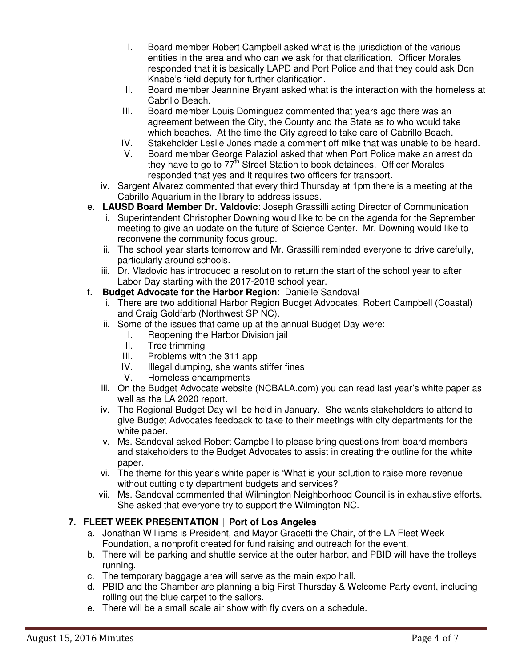- I. Board member Robert Campbell asked what is the jurisdiction of the various entities in the area and who can we ask for that clarification. Officer Morales responded that it is basically LAPD and Port Police and that they could ask Don Knabe's field deputy for further clarification.
- II. Board member Jeannine Bryant asked what is the interaction with the homeless at Cabrillo Beach.
- III. Board member Louis Dominguez commented that years ago there was an agreement between the City, the County and the State as to who would take which beaches. At the time the City agreed to take care of Cabrillo Beach.
- IV. Stakeholder Leslie Jones made a comment off mike that was unable to be heard.
- V. Board member George Palaziol asked that when Port Police make an arrest do they have to go to 77<sup>th</sup> Street Station to book detainees. Officer Morales responded that yes and it requires two officers for transport.
- iv. Sargent Alvarez commented that every third Thursday at 1pm there is a meeting at the Cabrillo Aquarium in the library to address issues.
- e. **LAUSD Board Member Dr. Valdovic**: Joseph Grassilli acting Director of Communication
	- i. Superintendent Christopher Downing would like to be on the agenda for the September meeting to give an update on the future of Science Center. Mr. Downing would like to reconvene the community focus group.
	- ii. The school year starts tomorrow and Mr. Grassilli reminded everyone to drive carefully, particularly around schools.
	- iii. Dr. Vladovic has introduced a resolution to return the start of the school year to after Labor Day starting with the 2017-2018 school year.

#### f. **Budget Advocate for the Harbor Region**: Danielle Sandoval

- i. There are two additional Harbor Region Budget Advocates, Robert Campbell (Coastal) and Craig Goldfarb (Northwest SP NC).
- ii. Some of the issues that came up at the annual Budget Day were:
	- I. Reopening the Harbor Division jail
	- II. Tree trimming
	- III. Problems with the 311 app
	- IV. Illegal dumping, she wants stiffer fines<br>V. Homeless encampments
		- Homeless encampments
- iii. On the Budget Advocate website (NCBALA.com) you can read last year's white paper as well as the LA 2020 report.
- iv. The Regional Budget Day will be held in January. She wants stakeholders to attend to give Budget Advocates feedback to take to their meetings with city departments for the white paper.
- v. Ms. Sandoval asked Robert Campbell to please bring questions from board members and stakeholders to the Budget Advocates to assist in creating the outline for the white paper.
- vi. The theme for this year's white paper is 'What is your solution to raise more revenue without cutting city department budgets and services?'
- vii. Ms. Sandoval commented that Wilmington Neighborhood Council is in exhaustive efforts. She asked that everyone try to support the Wilmington NC.

## **7. FLEET WEEK PRESENTATION** | **Port of Los Angeles**

- a. Jonathan Williams is President, and Mayor Gracetti the Chair, of the LA Fleet Week Foundation, a nonprofit created for fund raising and outreach for the event.
- b. There will be parking and shuttle service at the outer harbor, and PBID will have the trolleys running.
- c. The temporary baggage area will serve as the main expo hall.
- d. PBID and the Chamber are planning a big First Thursday & Welcome Party event, including rolling out the blue carpet to the sailors.
- e. There will be a small scale air show with fly overs on a schedule.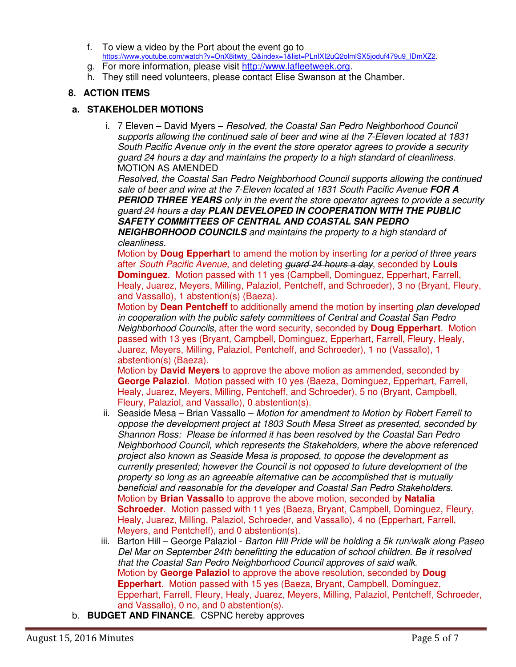- f. To view a video by the Port about the event go to https://www.youtube.com/watch?v=OnX8itwty\_Q&index=1&list=PLnIXI2uQ2olmlSX5joduf479u9\_lDmXZ2.
- g. For more information, please visit http://www.lafleetweek.org.
- h. They still need volunteers, please contact Elise Swanson at the Chamber.

## **8. ACTION ITEMS**

#### **a. STAKEHOLDER MOTIONS**

i. 7 Eleven – David Myers – *Resolved, the Coastal San Pedro Neighborhood Council supports allowing the continued sale of beer and wine at the 7-Eleven located at 1831 South Pacific Avenue only in the event the store operator agrees to provide a security guard 24 hours a day and maintains the property to a high standard of cleanliness.* MOTION AS AMENDED

*Resolved, the Coastal San Pedro Neighborhood Council supports allowing the continued sale of beer and wine at the 7-Eleven located at 1831 South Pacific Avenue* **FOR A PERIOD THREE YEARS** *only in the event the store operator agrees to provide a security guard 24 hours a day* **PLAN DEVELOPED IN COOPERATION WITH THE PUBLIC SAFETY COMMITTEES OF CENTRAL AND COASTAL SAN PEDRO** 

**NEIGHBORHOOD COUNCILS** *and maintains the property to a high standard of cleanliness.*

Motion by **Doug Epperhart** to amend the motion by inserting *for a period of three years* after *South Pacific Avenue*, and deleting *guard 24 hours a day*, seconded by **Louis Dominguez**. Motion passed with 11 yes (Campbell, Dominguez, Epperhart, Farrell, Healy, Juarez, Meyers, Milling, Palaziol, Pentcheff, and Schroeder), 3 no (Bryant, Fleury, and Vassallo), 1 abstention(s) (Baeza).

Motion by **Dean Pentcheff** to additionally amend the motion by inserting *plan developed in cooperation with the public safety committees of Central and Coastal San Pedro Neighborhood Councils*, after the word security, seconded by **Doug Epperhart**. Motion passed with 13 yes (Bryant, Campbell, Dominguez, Epperhart, Farrell, Fleury, Healy, Juarez, Meyers, Milling, Palaziol, Pentcheff, and Schroeder), 1 no (Vassallo), 1 abstention(s) (Baeza).

Motion by **David Meyers** to approve the above motion as ammended, seconded by **George Palaziol**. Motion passed with 10 yes (Baeza, Dominguez, Epperhart, Farrell, Healy, Juarez, Meyers, Milling, Pentcheff, and Schroeder), 5 no (Bryant, Campbell, Fleury, Palaziol, and Vassallo), 0 abstention(s).

- ii. Seaside Mesa Brian Vassallo *Motion for amendment to Motion by Robert Farrell to oppose the development project at 1803 South Mesa Street as presented, seconded by Shannon Ross: Please be informed it has been resolved by the Coastal San Pedro Neighborhood Council, which represents the Stakeholders, where the above referenced project also known as Seaside Mesa is proposed, to oppose the development as currently presented; however the Council is not opposed to future development of the property so long as an agreeable alternative can be accomplished that is mutually beneficial and reasonable for the developer and Coastal San Pedro Stakeholders.* Motion by **Brian Vassallo** to approve the above motion, seconded by **Natalia Schroeder**. Motion passed with 11 yes (Baeza, Bryant, Campbell, Dominguez, Fleury, Healy, Juarez, Milling, Palaziol, Schroeder, and Vassallo), 4 no (Epperhart, Farrell, Meyers, and Pentcheff), and 0 abstention(s).
- iii. Barton Hill George Palaziol *Barton Hill Pride will be holding a 5k run/walk along Paseo Del Mar on September 24th benefitting the education of school children. Be it resolved that the Coastal San Pedro Neighborhood Council approves of said walk.* Motion by **George Palaziol** to approve the above resolution, seconded by **Doug Epperhart**. Motion passed with 15 yes (Baeza, Bryant, Campbell, Dominguez, Epperhart, Farrell, Fleury, Healy, Juarez, Meyers, Milling, Palaziol, Pentcheff, Schroeder, and Vassallo), 0 no, and 0 abstention(s).
- b. **BUDGET AND FINANCE**. CSPNC hereby approves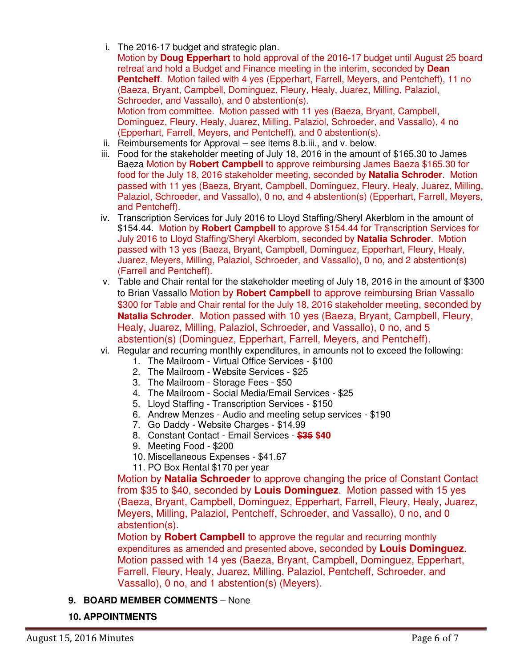i. The 2016-17 budget and strategic plan.

Motion by **Doug Epperhart** to hold approval of the 2016-17 budget until August 25 board retreat and hold a Budget and Finance meeting in the interim, seconded by **Dean Pentcheff.** Motion failed with 4 yes (Epperhart, Farrell, Meyers, and Pentcheff), 11 no (Baeza, Bryant, Campbell, Dominguez, Fleury, Healy, Juarez, Milling, Palaziol, Schroeder, and Vassallo), and 0 abstention(s). Motion from committee. Motion passed with 11 yes (Baeza, Bryant, Campbell,

Dominguez, Fleury, Healy, Juarez, Milling, Palaziol, Schroeder, and Vassallo), 4 no (Epperhart, Farrell, Meyers, and Pentcheff), and 0 abstention(s).

- ii. Reimbursements for Approval see items 8.b.iii., and v. below.
- iii. Food for the stakeholder meeting of July 18, 2016 in the amount of \$165.30 to James Baeza Motion by **Robert Campbell** to approve reimbursing James Baeza \$165.30 for food for the July 18, 2016 stakeholder meeting, seconded by **Natalia Schroder**. Motion passed with 11 yes (Baeza, Bryant, Campbell, Dominguez, Fleury, Healy, Juarez, Milling, Palaziol, Schroeder, and Vassallo), 0 no, and 4 abstention(s) (Epperhart, Farrell, Meyers, and Pentcheff).
- iv. Transcription Services for July 2016 to Lloyd Staffing/Sheryl Akerblom in the amount of \$154.44. Motion by **Robert Campbell** to approve \$154.44 for Transcription Services for July 2016 to Lloyd Staffing/Sheryl Akerblom, seconded by **Natalia Schroder**. Motion passed with 13 yes (Baeza, Bryant, Campbell, Dominguez, Epperhart, Fleury, Healy, Juarez, Meyers, Milling, Palaziol, Schroeder, and Vassallo), 0 no, and 2 abstention(s) (Farrell and Pentcheff).
- v. Table and Chair rental for the stakeholder meeting of July 18, 2016 in the amount of \$300 to Brian Vassallo Motion by **Robert Campbell** to approve reimbursing Brian Vassallo \$300 for Table and Chair rental for the July 18, 2016 stakeholder meeting, seconded by **Natalia Schroder**. Motion passed with 10 yes (Baeza, Bryant, Campbell, Fleury, Healy, Juarez, Milling, Palaziol, Schroeder, and Vassallo), 0 no, and 5 abstention(s) (Dominguez, Epperhart, Farrell, Meyers, and Pentcheff).
- vi. Regular and recurring monthly expenditures, in amounts not to exceed the following:
	- 1. The Mailroom Virtual Office Services \$100
	- 2. The Mailroom Website Services \$25
	- 3. The Mailroom Storage Fees \$50
	- 4. The Mailroom Social Media/Email Services \$25
	- 5. Lloyd Staffing Transcription Services \$150
	- 6. Andrew Menzes Audio and meeting setup services \$190
	- 7. Go Daddy Website Charges \$14.99
	- 8. Constant Contact Email Services **\$35 \$40**
	- 9. Meeting Food \$200
	- 10. Miscellaneous Expenses \$41.67
	- 11. PO Box Rental \$170 per year

Motion by **Natalia Schroeder** to approve changing the price of Constant Contact from \$35 to \$40, seconded by **Louis Dominguez**. Motion passed with 15 yes (Baeza, Bryant, Campbell, Dominguez, Epperhart, Farrell, Fleury, Healy, Juarez, Meyers, Milling, Palaziol, Pentcheff, Schroeder, and Vassallo), 0 no, and 0 abstention(s).

Motion by **Robert Campbell** to approve the regular and recurring monthly expenditures as amended and presented above, seconded by **Louis Dominguez**. Motion passed with 14 yes (Baeza, Bryant, Campbell, Dominguez, Epperhart, Farrell, Fleury, Healy, Juarez, Milling, Palaziol, Pentcheff, Schroeder, and Vassallo), 0 no, and 1 abstention(s) (Meyers).

- **9. BOARD MEMBER COMMENTS** None
- **10. APPOINTMENTS**